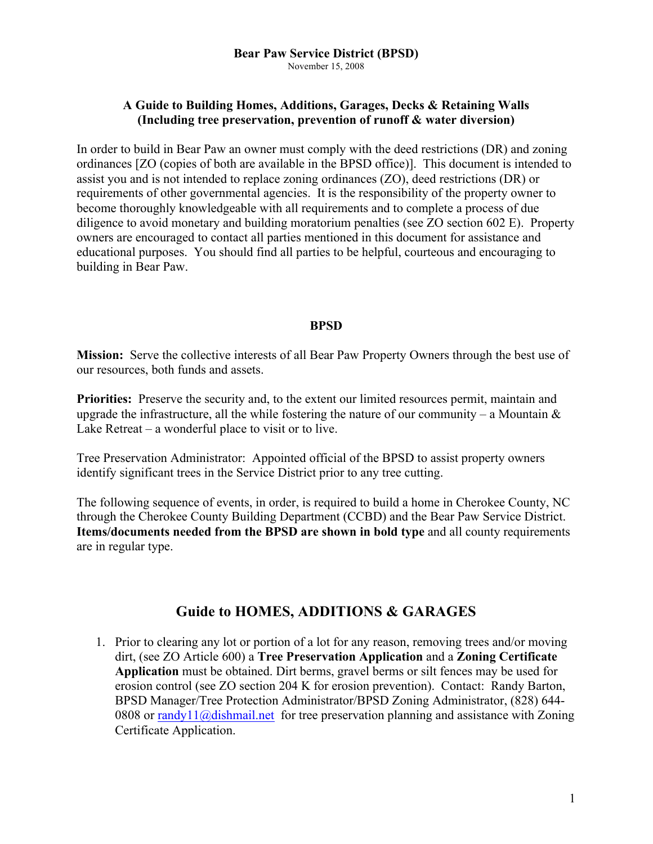## **A Guide to Building Homes, Additions, Garages, Decks & Retaining Walls (Including tree preservation, prevention of runoff & water diversion)**

In order to build in Bear Paw an owner must comply with the deed restrictions (DR) and zoning ordinances [ZO (copies of both are available in the BPSD office)]. This document is intended to assist you and is not intended to replace zoning ordinances (ZO), deed restrictions (DR) or requirements of other governmental agencies. It is the responsibility of the property owner to become thoroughly knowledgeable with all requirements and to complete a process of due diligence to avoid monetary and building moratorium penalties (see ZO section 602 E). Property owners are encouraged to contact all parties mentioned in this document for assistance and educational purposes. You should find all parties to be helpful, courteous and encouraging to building in Bear Paw.

#### **BPSD**

**Mission:** Serve the collective interests of all Bear Paw Property Owners through the best use of our resources, both funds and assets.

**Priorities:** Preserve the security and, to the extent our limited resources permit, maintain and upgrade the infrastructure, all the while fostering the nature of our community – a Mountain  $\&$ Lake Retreat – a wonderful place to visit or to live.

Tree Preservation Administrator: Appointed official of the BPSD to assist property owners identify significant trees in the Service District prior to any tree cutting.

The following sequence of events, in order, is required to build a home in Cherokee County, NC through the Cherokee County Building Department (CCBD) and the Bear Paw Service District. **Items/documents needed from the BPSD are shown in bold type** and all county requirements are in regular type.

# **Guide to HOMES, ADDITIONS & GARAGES**

1. Prior to clearing any lot or portion of a lot for any reason, removing trees and/or moving dirt, (see ZO Article 600) a **Tree Preservation Application** and a **Zoning Certificate Application** must be obtained. Dirt berms, gravel berms or silt fences may be used for erosion control (see ZO section 204 K for erosion prevention). Contact: Randy Barton, BPSD Manager/Tree Protection Administrator/BPSD Zoning Administrator, (828) 644- 0808 or randy11@dishmail.net for tree preservation planning and assistance with Zoning Certificate Application.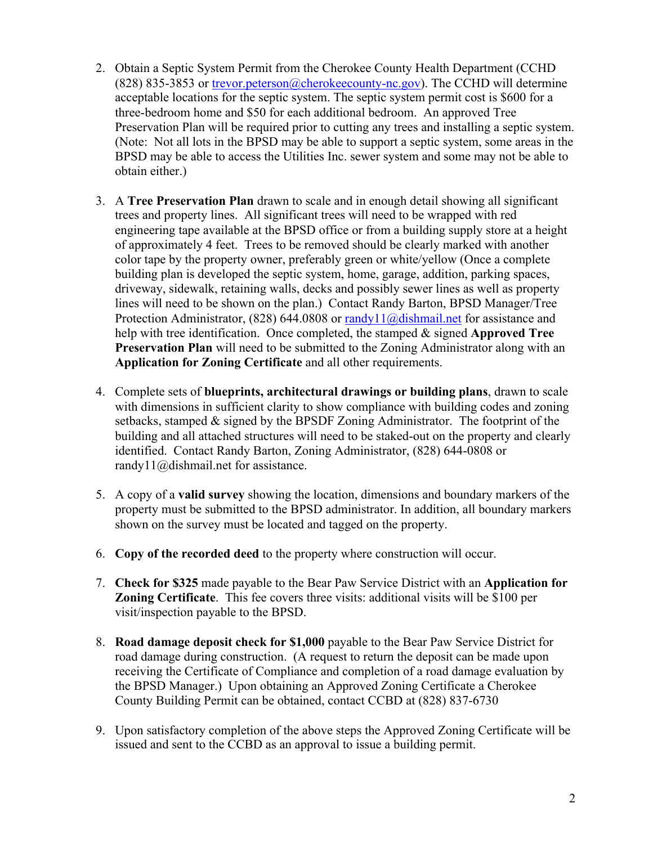- 2. Obtain a Septic System Permit from the Cherokee County Health Department (CCHD (828) 835-3853 or trevor.peterson@cherokeecounty-nc.gov). The CCHD will determine acceptable locations for the septic system. The septic system permit cost is \$600 for a three-bedroom home and \$50 for each additional bedroom. An approved Tree Preservation Plan will be required prior to cutting any trees and installing a septic system. (Note: Not all lots in the BPSD may be able to support a septic system, some areas in the BPSD may be able to access the Utilities Inc. sewer system and some may not be able to obtain either.)
- 3. A **Tree Preservation Plan** drawn to scale and in enough detail showing all significant trees and property lines. All significant trees will need to be wrapped with red engineering tape available at the BPSD office or from a building supply store at a height of approximately 4 feet. Trees to be removed should be clearly marked with another color tape by the property owner, preferably green or white/yellow (Once a complete building plan is developed the septic system, home, garage, addition, parking spaces, driveway, sidewalk, retaining walls, decks and possibly sewer lines as well as property lines will need to be shown on the plan.) Contact Randy Barton, BPSD Manager/Tree Protection Administrator, (828) 644.0808 or randy11@dishmail.net for assistance and help with tree identification. Once completed, the stamped & signed **Approved Tree Preservation Plan** will need to be submitted to the Zoning Administrator along with an **Application for Zoning Certificate** and all other requirements.
- 4. Complete sets of **blueprints, architectural drawings or building plans**, drawn to scale with dimensions in sufficient clarity to show compliance with building codes and zoning setbacks, stamped & signed by the BPSDF Zoning Administrator. The footprint of the building and all attached structures will need to be staked-out on the property and clearly identified. Contact Randy Barton, Zoning Administrator, (828) 644-0808 or randy11@dishmail.net for assistance.
- 5. A copy of a **valid survey** showing the location, dimensions and boundary markers of the property must be submitted to the BPSD administrator. In addition, all boundary markers shown on the survey must be located and tagged on the property.
- 6. **Copy of the recorded deed** to the property where construction will occur.
- 7. **Check for \$325** made payable to the Bear Paw Service District with an **Application for Zoning Certificate**. This fee covers three visits: additional visits will be \$100 per visit/inspection payable to the BPSD.
- 8. **Road damage deposit check for \$1,000** payable to the Bear Paw Service District for road damage during construction. (A request to return the deposit can be made upon receiving the Certificate of Compliance and completion of a road damage evaluation by the BPSD Manager.) Upon obtaining an Approved Zoning Certificate a Cherokee County Building Permit can be obtained, contact CCBD at (828) 837-6730
- 9. Upon satisfactory completion of the above steps the Approved Zoning Certificate will be issued and sent to the CCBD as an approval to issue a building permit.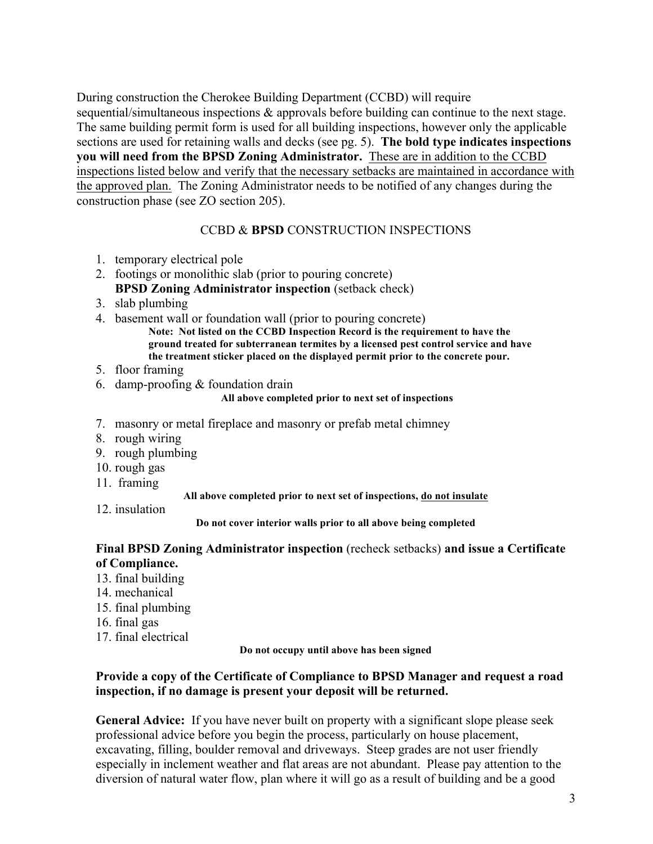During construction the Cherokee Building Department (CCBD) will require sequential/simultaneous inspections & approvals before building can continue to the next stage. The same building permit form is used for all building inspections, however only the applicable sections are used for retaining walls and decks (see pg. 5). **The bold type indicates inspections you will need from the BPSD Zoning Administrator.** These are in addition to the CCBD inspections listed below and verify that the necessary setbacks are maintained in accordance with the approved plan. The Zoning Administrator needs to be notified of any changes during the construction phase (see ZO section 205).

### CCBD & **BPSD** CONSTRUCTION INSPECTIONS

- 1. temporary electrical pole
- 2. footings or monolithic slab (prior to pouring concrete) **BPSD Zoning Administrator inspection** (setback check)
- 3. slab plumbing
- 4. basement wall or foundation wall (prior to pouring concrete)

**Note: Not listed on the CCBD Inspection Record is the requirement to have the ground treated for subterranean termites by a licensed pest control service and have the treatment sticker placed on the displayed permit prior to the concrete pour.**

- 5. floor framing
- 6. damp-proofing & foundation drain

#### **All above completed prior to next set of inspections**

- 7. masonry or metal fireplace and masonry or prefab metal chimney
- 8. rough wiring
- 9. rough plumbing
- 10. rough gas
- 11. framing

#### **All above completed prior to next set of inspections, do not insulate**

12. insulation

#### **Do not cover interior walls prior to all above being completed**

### **Final BPSD Zoning Administrator inspection** (recheck setbacks) **and issue a Certificate of Compliance.**

- 13. final building
- 14. mechanical
- 15. final plumbing
- 16. final gas
- 17. final electrical

**Do not occupy until above has been signed**

### **Provide a copy of the Certificate of Compliance to BPSD Manager and request a road inspection, if no damage is present your deposit will be returned.**

**General Advice:** If you have never built on property with a significant slope please seek professional advice before you begin the process, particularly on house placement, excavating, filling, boulder removal and driveways. Steep grades are not user friendly especially in inclement weather and flat areas are not abundant. Please pay attention to the diversion of natural water flow, plan where it will go as a result of building and be a good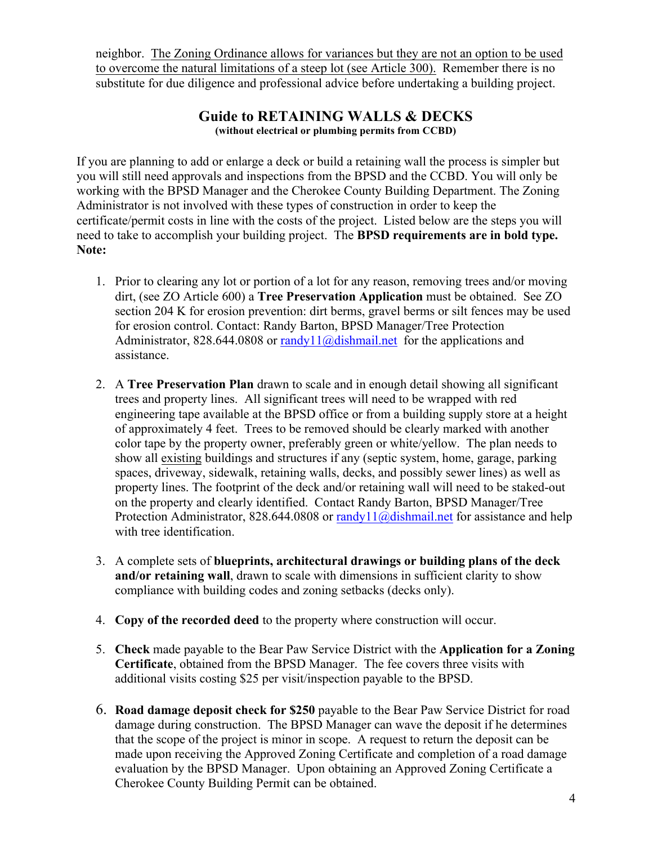neighbor. The Zoning Ordinance allows for variances but they are not an option to be used to overcome the natural limitations of a steep lot (see Article 300). Remember there is no substitute for due diligence and professional advice before undertaking a building project.

## **Guide to RETAINING WALLS & DECKS (without electrical or plumbing permits from CCBD)**

If you are planning to add or enlarge a deck or build a retaining wall the process is simpler but you will still need approvals and inspections from the BPSD and the CCBD. You will only be working with the BPSD Manager and the Cherokee County Building Department. The Zoning Administrator is not involved with these types of construction in order to keep the certificate/permit costs in line with the costs of the project. Listed below are the steps you will need to take to accomplish your building project. The **BPSD requirements are in bold type. Note:** 

- 1. Prior to clearing any lot or portion of a lot for any reason, removing trees and/or moving dirt, (see ZO Article 600) a **Tree Preservation Application** must be obtained. See ZO section 204 K for erosion prevention: dirt berms, gravel berms or silt fences may be used for erosion control. Contact: Randy Barton, BPSD Manager/Tree Protection Administrator, 828.644.0808 or  $\frac{randy11}{a}$ dishmail.net for the applications and assistance.
- 2. A **Tree Preservation Plan** drawn to scale and in enough detail showing all significant trees and property lines. All significant trees will need to be wrapped with red engineering tape available at the BPSD office or from a building supply store at a height of approximately 4 feet. Trees to be removed should be clearly marked with another color tape by the property owner, preferably green or white/yellow. The plan needs to show all existing buildings and structures if any (septic system, home, garage, parking spaces, driveway, sidewalk, retaining walls, decks, and possibly sewer lines) as well as property lines. The footprint of the deck and/or retaining wall will need to be staked-out on the property and clearly identified. Contact Randy Barton, BPSD Manager/Tree Protection Administrator, 828.644.0808 or randy $11$  ( $a$ ) dishmail.net for assistance and help with tree identification.
- 3. A complete sets of **blueprints, architectural drawings or building plans of the deck and/or retaining wall**, drawn to scale with dimensions in sufficient clarity to show compliance with building codes and zoning setbacks (decks only).
- 4. **Copy of the recorded deed** to the property where construction will occur.
- 5. **Check** made payable to the Bear Paw Service District with the **Application for a Zoning Certificate**, obtained from the BPSD Manager. The fee covers three visits with additional visits costing \$25 per visit/inspection payable to the BPSD.
- 6. **Road damage deposit check for \$250** payable to the Bear Paw Service District for road damage during construction. The BPSD Manager can wave the deposit if he determines that the scope of the project is minor in scope. A request to return the deposit can be made upon receiving the Approved Zoning Certificate and completion of a road damage evaluation by the BPSD Manager. Upon obtaining an Approved Zoning Certificate a Cherokee County Building Permit can be obtained.